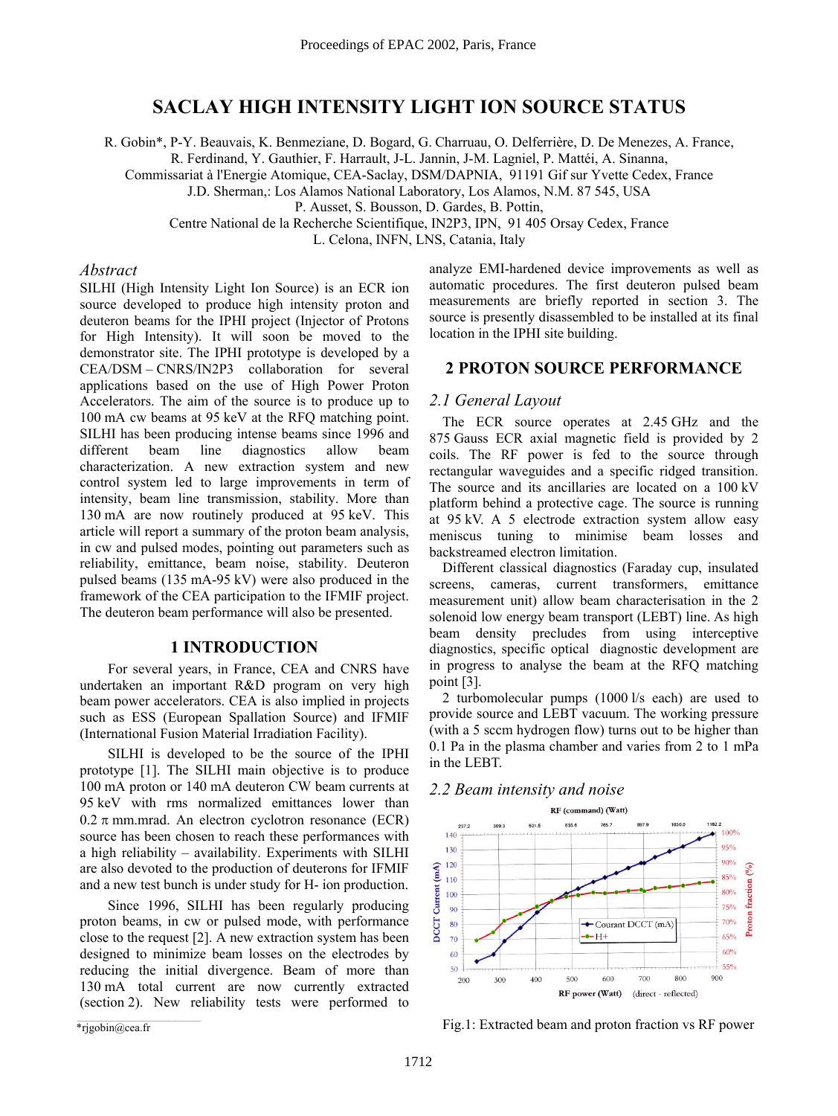# **SACLAY HIGH INTENSITY LIGHT ION SOURCE STATUS**

R. Gobin\*, P-Y. Beauvais, K. Benmeziane, D. Bogard, G. Charruau, O. Delferrière, D. De Menezes, A. France,

R. Ferdinand, Y. Gauthier, F. Harrault, J-L. Jannin, J-M. Lagniel, P. Mattéi, A. Sinanna,

Commissariat à l'Energie Atomique, CEA-Saclay, DSM/DAPNIA, 91191 Gif sur Yvette Cedex, France

J.D. Sherman,: Los Alamos National Laboratory, Los Alamos, N.M. 87 545, USA

P. Ausset, S. Bousson, D. Gardes, B. Pottin,

Centre National de la Recherche Scientifique, IN2P3, IPN, 91 405 Orsay Cedex, France

L. Celona, INFN, LNS, Catania, Italy

### *Abstract*

SILHI (High Intensity Light Ion Source) is an ECR ion source developed to produce high intensity proton and deuteron beams for the IPHI project (Injector of Protons for High Intensity). It will soon be moved to the demonstrator site. The IPHI prototype is developed by a CEA/DSM – CNRS/IN2P3 collaboration for several applications based on the use of High Power Proton Accelerators. The aim of the source is to produce up to 100 mA cw beams at 95 keV at the RFQ matching point. SILHI has been producing intense beams since 1996 and different beam line diagnostics allow beam characterization. A new extraction system and new control system led to large improvements in term of intensity, beam line transmission, stability. More than 130 mA are now routinely produced at 95 keV. This article will report a summary of the proton beam analysis, in cw and pulsed modes, pointing out parameters such as reliability, emittance, beam noise, stability. Deuteron pulsed beams (135 mA-95 kV) were also produced in the framework of the CEA participation to the IFMIF project. The deuteron beam performance will also be presented.

### **1 INTRODUCTION**

For several years, in France, CEA and CNRS have undertaken an important R&D program on very high beam power accelerators. CEA is also implied in projects such as ESS (European Spallation Source) and IFMIF (International Fusion Material Irradiation Facility).

SILHI is developed to be the source of the IPHI prototype [1]. The SILHI main objective is to produce 100 mA proton or 140 mA deuteron CW beam currents at 95 keV with rms normalized emittances lower than  $0.2 \pi$  mm.mrad. An electron cyclotron resonance (ECR) source has been chosen to reach these performances with a high reliability  $-$  availability. Experiments with SILHI are also devoted to the production of deuterons for IFMIF and a new test bunch is under study for H- ion production.

Since 1996, SILHI has been regularly producing proton beams, in cw or pulsed mode, with performance close to the request [2]. A new extraction system has been designed to minimize beam losses on the electrodes by reducing the initial divergence. Beam of more than 130 mA total current are now currently extracted (section 2). New reliability tests were performed to

analyze EMI-hardened device improvements as well as automatic procedures. The first deuteron pulsed beam measurements are briefly reported in section 3. The source is presently disassembled to be installed at its final location in the IPHI site building.

### **2 PROTON SOURCE PERFORMANCE**

#### *2.1 General Layout*

The ECR source operates at 2.45 GHz and the 875 Gauss ECR axial magnetic field is provided by 2 coils. The RF power is fed to the source through rectangular waveguides and a specific ridged transition. The source and its ancillaries are located on a 100 kV platform behind a protective cage. The source is running at 95 kV. A 5 electrode extraction system allow easy meniscus tuning to minimise beam losses and backstreamed electron limitation.

Different classical diagnostics (Faraday cup, insulated screens, cameras, current transformers, emittance measurement unit) allow beam characterisation in the 2 solenoid low energy beam transport (LEBT) line. As high beam density precludes from using interceptive diagnostics, specific optical diagnostic development are in progress to analyse the beam at the RFQ matching point [3].

2 turbomolecular pumps (1000 l/s each) are used to provide source and LEBT vacuum. The working pressure (with a 5 sccm hydrogen flow) turns out to be higher than 0.1 Pa in the plasma chamber and varies from 2 to 1 mPa in the LEBT.

## *2.2 Beam intensity and noise*



Fig.1: Extracted beam and proton fraction vs RF power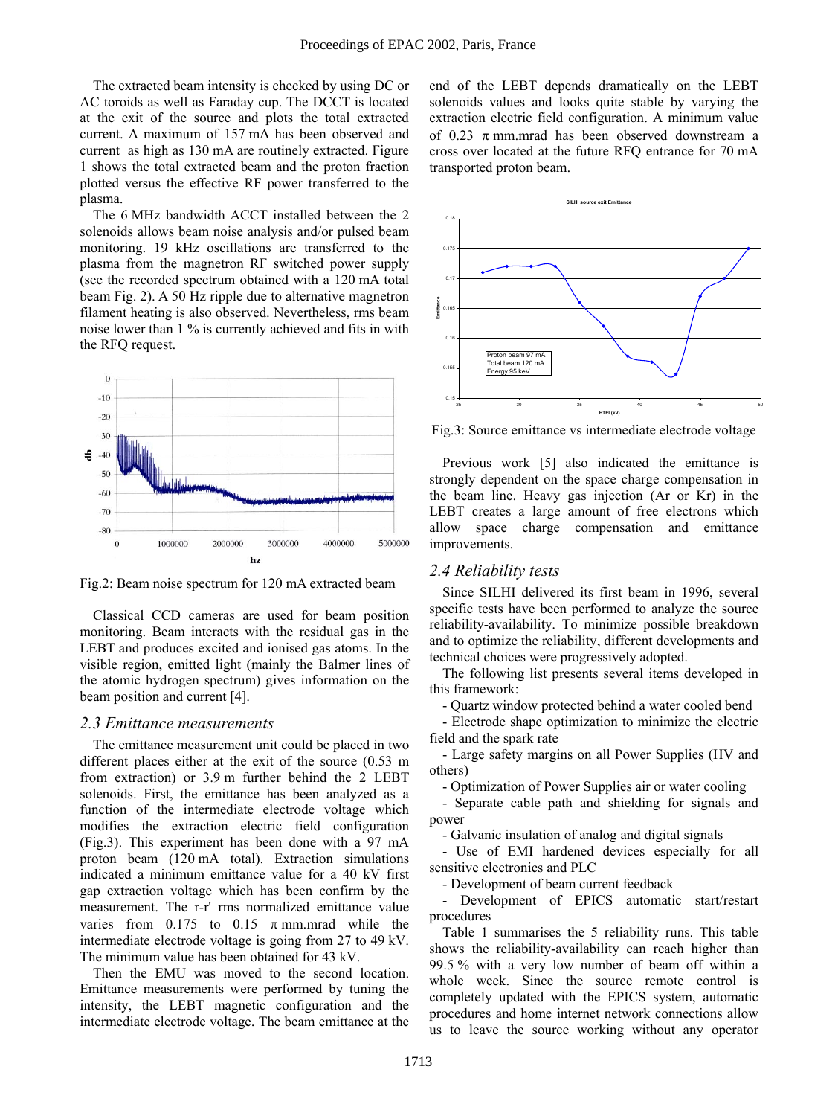The extracted beam intensity is checked by using DC or AC toroids as well as Faraday cup. The DCCT is located at the exit of the source and plots the total extracted current. A maximum of 157 mA has been observed and current as high as 130 mA are routinely extracted. Figure 1 shows the total extracted beam and the proton fraction plotted versus the effective RF power transferred to the plasma.

The 6 MHz bandwidth ACCT installed between the 2 solenoids allows beam noise analysis and/or pulsed beam monitoring. 19 kHz oscillations are transferred to the plasma from the magnetron RF switched power supply (see the recorded spectrum obtained with a 120 mA total beam Fig. 2). A 50 Hz ripple due to alternative magnetron filament heating is also observed. Nevertheless, rms beam noise lower than 1 % is currently achieved and fits in with the RFQ request.



Fig.2: Beam noise spectrum for 120 mA extracted beam

Classical CCD cameras are used for beam position monitoring. Beam interacts with the residual gas in the LEBT and produces excited and ionised gas atoms. In the visible region, emitted light (mainly the Balmer lines of the atomic hydrogen spectrum) gives information on the beam position and current [4].

#### *2.3 Emittance measurements*

The emittance measurement unit could be placed in two different places either at the exit of the source (0.53 m from extraction) or 3.9 m further behind the 2 LEBT solenoids. First, the emittance has been analyzed as a function of the intermediate electrode voltage which modifies the extraction electric field configuration (Fig.3). This experiment has been done with a 97 mA proton beam (120 mA total). Extraction simulations indicated a minimum emittance value for a 40 kV first gap extraction voltage which has been confirm by the measurement. The r-r' rms normalized emittance value varies from  $0.175$  to  $0.15$   $\pi$  mm.mrad while the intermediate electrode voltage is going from 27 to 49 kV. The minimum value has been obtained for 43 kV.

Then the EMU was moved to the second location. Emittance measurements were performed by tuning the intensity, the LEBT magnetic configuration and the intermediate electrode voltage. The beam emittance at the end of the LEBT depends dramatically on the LEBT solenoids values and looks quite stable by varying the extraction electric field configuration. A minimum value of 0.23  $\pi$  mm mrad has been observed downstream a cross over located at the future RFQ entrance for 70 mA transported proton beam.



Fig.3: Source emittance vs intermediate electrode voltage

Previous work [5] also indicated the emittance is strongly dependent on the space charge compensation in the beam line. Heavy gas injection (Ar or Kr) in the LEBT creates a large amount of free electrons which allow space charge compensation and emittance improvements.

#### *2.4 Reliability tests*

Since SILHI delivered its first beam in 1996, several specific tests have been performed to analyze the source reliability-availability. To minimize possible breakdown and to optimize the reliability, different developments and technical choices were progressively adopted.

The following list presents several items developed in this framework:

- Quartz window protected behind a water cooled bend

- Electrode shape optimization to minimize the electric field and the spark rate

- Large safety margins on all Power Supplies (HV and others)

- Optimization of Power Supplies air or water cooling

- Separate cable path and shielding for signals and power

- Galvanic insulation of analog and digital signals

- Use of EMI hardened devices especially for all sensitive electronics and PLC

- Development of beam current feedback

Development of EPICS automatic start/restart procedures

Table 1 summarises the 5 reliability runs. This table shows the reliability-availability can reach higher than 99.5 % with a very low number of beam off within a whole week. Since the source remote control is completely updated with the EPICS system, automatic procedures and home internet network connections allow us to leave the source working without any operator